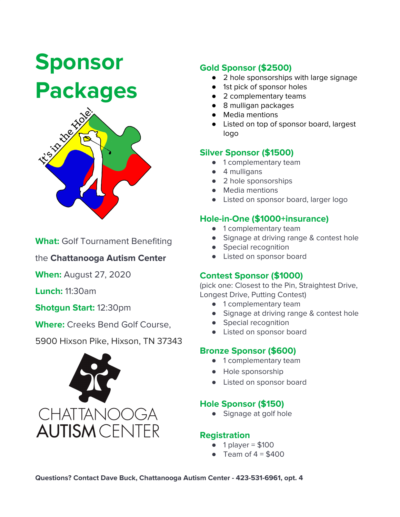# **Sponsor Packages**



**What:** Golf Tournament Benefiting

the **Chattanooga Autism Center**

**When:** August 27, 2020

**Lunch:** 11:30am

#### **Shotgun Start:** 12:30pm

**Where:** Creeks Bend Golf Course,

5900 Hixson Pike, Hixson, TN 37343



### **Gold Sponsor (\$2500)**

- 2 hole sponsorships with large signage
- 1st pick of sponsor holes
- 2 complementary teams
- 8 mulligan packages
- Media mentions
- Listed on top of sponsor board, largest logo

#### **Silver Sponsor (\$1500)**

- 1 complementary team
- 4 mulligans
- 2 hole sponsorships
- Media mentions
- Listed on sponsor board, larger logo

### **Hole-in-One (\$1000+insurance)**

- 1 complementary team
- Signage at driving range & contest hole
- Special recognition
- Listed on sponsor board

#### **Contest Sponsor (\$1000)**

(pick one: Closest to the Pin, Straightest Drive, Longest Drive, Putting Contest)

- 1 complementary team
- Signage at driving range & contest hole
- Special recognition
- Listed on sponsor board

#### **Bronze Sponsor (\$600)**

- 1 complementary team
- Hole sponsorship
- Listed on sponsor board

#### **Hole Sponsor (\$150)**

● Signage at golf hole

#### **Registration**

- $\bullet$  1 player = \$100
- Team of  $4 = $400$